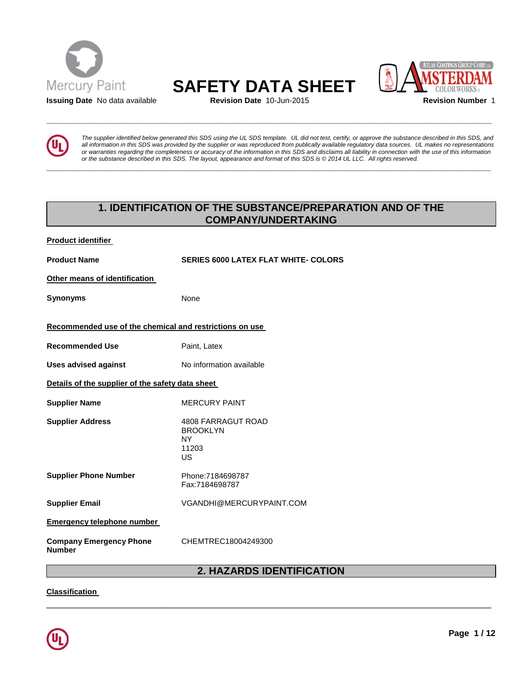

# **Mercury Paint SAFETY DATA SHEET**<br>**Issuing Date** No data available **SAFETY** Revision Date 10-Jun-2015

**\_\_\_\_\_\_\_\_\_\_\_\_\_\_\_\_\_\_\_\_\_\_\_\_\_\_\_\_\_\_\_\_\_\_\_\_\_\_\_\_\_\_\_\_\_\_\_\_\_\_\_\_\_\_\_\_\_\_\_\_\_\_\_\_\_\_\_\_\_\_\_\_\_\_\_\_\_\_\_\_\_\_\_\_\_\_\_\_\_\_\_\_\_** 

**\_\_\_\_\_\_\_\_\_\_\_\_\_\_\_\_\_\_\_\_\_\_\_\_\_\_\_\_\_\_\_\_\_\_\_\_\_\_\_\_\_\_\_\_\_\_\_\_\_\_\_\_\_\_\_\_\_\_\_\_\_\_\_\_\_\_\_\_\_\_\_\_\_\_\_\_\_\_\_\_\_\_\_\_\_\_\_\_\_\_\_\_\_** 





*The supplier identified below generated this SDS using the UL SDS template. UL did not test, certify, or approve the substance described in this SDS, and all information in this SDS was provided by the supplier or was reproduced from publically available regulatory data sources. UL makes no representations or warranties regarding the completeness or accuracy of the information in this SDS and disclaims all liability in connection with the use of this information or the substance described in this SDS. The layout, appearance and format of this SDS is © 2014 UL LLC. All rights reserved.* 

# **1. IDENTIFICATION OF THE SUBSTANCE/PREPARATION AND OF THE COMPANY/UNDERTAKING**

| <b>Product Name</b><br><b>SERIES 6000 LATEX FLAT WHITE- COLORS</b><br>Other means of identification<br>Synonyms<br>None<br>Recommended use of the chemical and restrictions on use<br><b>Recommended Use</b><br>Paint, Latex<br><b>Uses advised against</b><br>No information available<br>Details of the supplier of the safety data sheet<br><b>Supplier Name</b><br><b>MERCURY PAINT</b><br><b>Supplier Address</b><br><b>4808 FARRAGUT ROAD</b><br><b>BROOKLYN</b><br><b>NY</b><br>11203<br><b>US</b><br><b>Supplier Phone Number</b><br>Phone:7184698787<br>Fax:7184698787<br><b>Supplier Email</b><br>VGANDHI@MERCURYPAINT.COM<br><b>Emergency telephone number</b><br><b>Company Emergency Phone</b><br>CHEMTREC18004249300<br><b>Number</b> | Product identifier |  |
|-----------------------------------------------------------------------------------------------------------------------------------------------------------------------------------------------------------------------------------------------------------------------------------------------------------------------------------------------------------------------------------------------------------------------------------------------------------------------------------------------------------------------------------------------------------------------------------------------------------------------------------------------------------------------------------------------------------------------------------------------------|--------------------|--|
|                                                                                                                                                                                                                                                                                                                                                                                                                                                                                                                                                                                                                                                                                                                                                     |                    |  |
|                                                                                                                                                                                                                                                                                                                                                                                                                                                                                                                                                                                                                                                                                                                                                     |                    |  |
|                                                                                                                                                                                                                                                                                                                                                                                                                                                                                                                                                                                                                                                                                                                                                     |                    |  |
|                                                                                                                                                                                                                                                                                                                                                                                                                                                                                                                                                                                                                                                                                                                                                     |                    |  |
|                                                                                                                                                                                                                                                                                                                                                                                                                                                                                                                                                                                                                                                                                                                                                     |                    |  |
|                                                                                                                                                                                                                                                                                                                                                                                                                                                                                                                                                                                                                                                                                                                                                     |                    |  |
|                                                                                                                                                                                                                                                                                                                                                                                                                                                                                                                                                                                                                                                                                                                                                     |                    |  |
|                                                                                                                                                                                                                                                                                                                                                                                                                                                                                                                                                                                                                                                                                                                                                     |                    |  |
|                                                                                                                                                                                                                                                                                                                                                                                                                                                                                                                                                                                                                                                                                                                                                     |                    |  |
|                                                                                                                                                                                                                                                                                                                                                                                                                                                                                                                                                                                                                                                                                                                                                     |                    |  |
|                                                                                                                                                                                                                                                                                                                                                                                                                                                                                                                                                                                                                                                                                                                                                     |                    |  |
|                                                                                                                                                                                                                                                                                                                                                                                                                                                                                                                                                                                                                                                                                                                                                     |                    |  |
|                                                                                                                                                                                                                                                                                                                                                                                                                                                                                                                                                                                                                                                                                                                                                     |                    |  |

# **2. HAZARDS IDENTIFICATION**

\_\_\_\_\_\_\_\_\_\_\_\_\_\_\_\_\_\_\_\_\_\_\_\_\_\_\_\_\_\_\_\_\_\_\_\_\_\_\_\_\_\_\_\_\_\_\_\_\_\_\_\_\_\_\_\_\_\_\_\_\_\_\_\_\_\_\_\_\_\_\_\_\_\_\_\_\_\_\_\_\_\_\_\_\_\_\_\_\_\_\_\_\_

**Classification** 

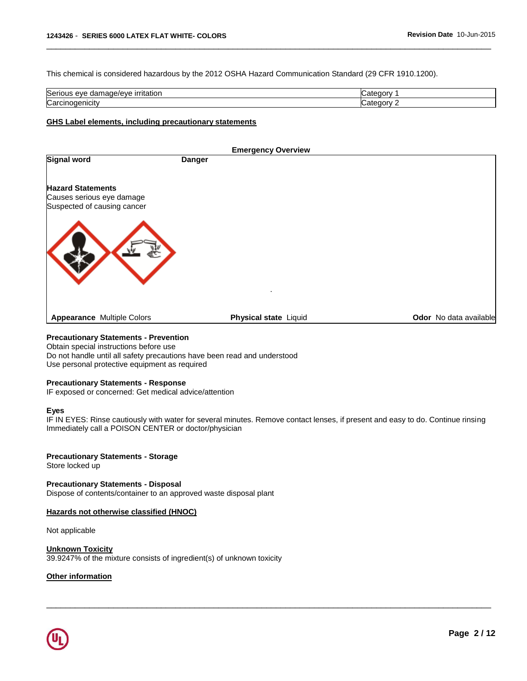This chemical is considered hazardous by the 2012 OSHA Hazard Communication Standard (29 CFR 1910.1200).

| Serious<br><b>irritation</b><br>ع/01/4<br>eve<br>. מ<br>uar<br>нач | .            |
|--------------------------------------------------------------------|--------------|
| Carcinogenicity                                                    | ı<br>- - - - |

\_\_\_\_\_\_\_\_\_\_\_\_\_\_\_\_\_\_\_\_\_\_\_\_\_\_\_\_\_\_\_\_\_\_\_\_\_\_\_\_\_\_\_\_\_\_\_\_\_\_\_\_\_\_\_\_\_\_\_\_\_\_\_\_\_\_\_\_\_\_\_\_\_\_\_\_\_\_\_\_\_\_\_\_\_\_\_\_\_\_\_\_\_

#### **GHS Label elements, including precautionary statements**

| <b>Emergency Overview</b>                                |               |                       |  |                        |
|----------------------------------------------------------|---------------|-----------------------|--|------------------------|
| <b>Signal word</b>                                       | <b>Danger</b> |                       |  |                        |
| <b>Hazard Statements</b>                                 |               |                       |  |                        |
| Causes serious eye damage<br>Suspected of causing cancer |               |                       |  |                        |
|                                                          |               | ٠.                    |  |                        |
| <b>Appearance Multiple Colors</b>                        |               | Physical state Liquid |  | Odor No data available |
|                                                          |               |                       |  |                        |

# **Precautionary Statements - Prevention**

Obtain special instructions before use Do not handle until all safety precautions have been read and understood Use personal protective equipment as required

#### **Precautionary Statements - Response**

IF exposed or concerned: Get medical advice/attention

#### **Eyes**

IF IN EYES: Rinse cautiously with water for several minutes. Remove contact lenses, if present and easy to do. Continue rinsing Immediately call a POISON CENTER or doctor/physician

\_\_\_\_\_\_\_\_\_\_\_\_\_\_\_\_\_\_\_\_\_\_\_\_\_\_\_\_\_\_\_\_\_\_\_\_\_\_\_\_\_\_\_\_\_\_\_\_\_\_\_\_\_\_\_\_\_\_\_\_\_\_\_\_\_\_\_\_\_\_\_\_\_\_\_\_\_\_\_\_\_\_\_\_\_\_\_\_\_\_\_\_\_

### **Precautionary Statements - Storage**

Store locked up

#### **Precautionary Statements - Disposal** Dispose of contents/container to an approved waste disposal plant

#### **Hazards not otherwise classified (HNOC)**

Not applicable

#### **Unknown Toxicity** 39.9247% of the mixture consists of ingredient(s) of unknown toxicity

#### **Other information**

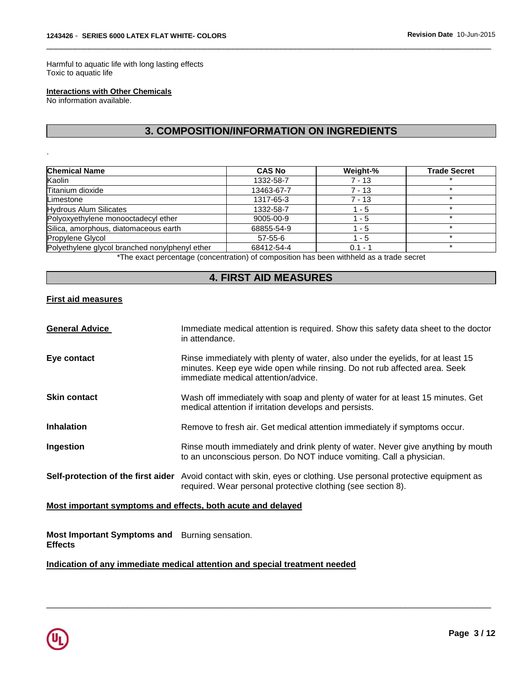Harmful to aquatic life with long lasting effects Toxic to aquatic life

#### **Interactions with Other Chemicals**

No information available.

.

# **3. COMPOSITION/INFORMATION ON INGREDIENTS**

\_\_\_\_\_\_\_\_\_\_\_\_\_\_\_\_\_\_\_\_\_\_\_\_\_\_\_\_\_\_\_\_\_\_\_\_\_\_\_\_\_\_\_\_\_\_\_\_\_\_\_\_\_\_\_\_\_\_\_\_\_\_\_\_\_\_\_\_\_\_\_\_\_\_\_\_\_\_\_\_\_\_\_\_\_\_\_\_\_\_\_\_\_

| <b>Chemical Name</b>                           | <b>CAS No</b> | Weight-%  | <b>Trade Secret</b> |
|------------------------------------------------|---------------|-----------|---------------------|
| Kaolin                                         | 1332-58-7     | $7 - 13$  |                     |
| Titanium dioxide                               | 13463-67-7    | $7 - 13$  | ÷                   |
| Limestone                                      | 1317-65-3     | $7 - 13$  | $\star$             |
| <b>Hydrous Alum Silicates</b>                  | 1332-58-7     | $1 - 5$   | $\star$             |
| Polyoxyethylene monooctadecyl ether            | 9005-00-9     | 1 - 5     |                     |
| Silica, amorphous, diatomaceous earth          | 68855-54-9    | - 5       |                     |
| Propylene Glycol                               | $57 - 55 - 6$ | $1 - 5$   |                     |
| Polyethylene glycol branched nonylphenyl ether | 68412-54-4    | $0.1 - 1$ |                     |

\*The exact percentage (concentration) of composition has been withheld as a trade secret

# **4. FIRST AID MEASURES**

### **First aid measures**

| <b>General Advice</b> | Immediate medical attention is required. Show this safety data sheet to the doctor<br>in attendance.                                                                                                |
|-----------------------|-----------------------------------------------------------------------------------------------------------------------------------------------------------------------------------------------------|
| Eye contact           | Rinse immediately with plenty of water, also under the eyelids, for at least 15<br>minutes. Keep eye wide open while rinsing. Do not rub affected area. Seek<br>immediate medical attention/advice. |
| <b>Skin contact</b>   | Wash off immediately with soap and plenty of water for at least 15 minutes. Get<br>medical attention if irritation develops and persists.                                                           |
| <b>Inhalation</b>     | Remove to fresh air. Get medical attention immediately if symptoms occur.                                                                                                                           |
| Ingestion             | Rinse mouth immediately and drink plenty of water. Never give anything by mouth<br>to an unconscious person. Do NOT induce vomiting. Call a physician.                                              |
|                       | Self-protection of the first aider Avoid contact with skin, eyes or clothing. Use personal protective equipment as<br>required. Wear personal protective clothing (see section 8).                  |

\_\_\_\_\_\_\_\_\_\_\_\_\_\_\_\_\_\_\_\_\_\_\_\_\_\_\_\_\_\_\_\_\_\_\_\_\_\_\_\_\_\_\_\_\_\_\_\_\_\_\_\_\_\_\_\_\_\_\_\_\_\_\_\_\_\_\_\_\_\_\_\_\_\_\_\_\_\_\_\_\_\_\_\_\_\_\_\_\_\_\_\_\_

### **Most important symptoms and effects, both acute and delayed**

**Most Important Symptoms and**  Burning sensation. **Effects** 

**Indication of any immediate medical attention and special treatment needed**

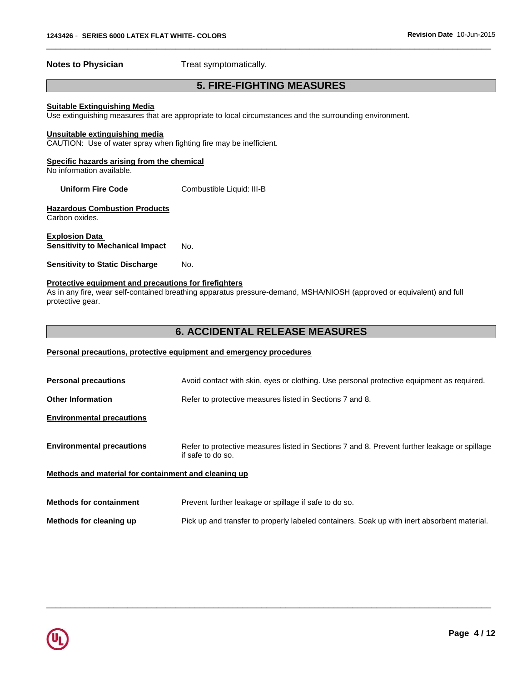**Notes to Physician**  Treat symptomatically.

# **5. FIRE-FIGHTING MEASURES**

\_\_\_\_\_\_\_\_\_\_\_\_\_\_\_\_\_\_\_\_\_\_\_\_\_\_\_\_\_\_\_\_\_\_\_\_\_\_\_\_\_\_\_\_\_\_\_\_\_\_\_\_\_\_\_\_\_\_\_\_\_\_\_\_\_\_\_\_\_\_\_\_\_\_\_\_\_\_\_\_\_\_\_\_\_\_\_\_\_\_\_\_\_

#### **Suitable Extinguishing Media**

Use extinguishing measures that are appropriate to local circumstances and the surrounding environment.

#### **Unsuitable extinguishing media**

CAUTION: Use of water spray when fighting fire may be inefficient.

#### **Specific hazards arising from the chemical**

No information available.

#### **Uniform Fire Code Combustible Liquid: III-B**

#### **Hazardous Combustion Products** Carbon oxides.

**Explosion Data** 

**Sensitivity to Mechanical Impact No.** 

**Sensitivity to Static Discharge Mo.** 

#### **Protective equipment and precautions for firefighters**

As in any fire, wear self-contained breathing apparatus pressure-demand, MSHA/NIOSH (approved or equivalent) and full protective gear.

# **6. ACCIDENTAL RELEASE MEASURES**

#### **Personal precautions, protective equipment and emergency procedures**

| <b>Personal precautions</b>                          | Avoid contact with skin, eyes or clothing. Use personal protective equipment as required.                         |  |
|------------------------------------------------------|-------------------------------------------------------------------------------------------------------------------|--|
| <b>Other Information</b>                             | Refer to protective measures listed in Sections 7 and 8.                                                          |  |
| <b>Environmental precautions</b>                     |                                                                                                                   |  |
| <b>Environmental precautions</b>                     | Refer to protective measures listed in Sections 7 and 8. Prevent further leakage or spillage<br>if safe to do so. |  |
| Methods and material for containment and cleaning up |                                                                                                                   |  |
| <b>Methods for containment</b>                       | Prevent further leakage or spillage if safe to do so.                                                             |  |
| Methods for cleaning up                              | Pick up and transfer to properly labeled containers. Soak up with inert absorbent material.                       |  |

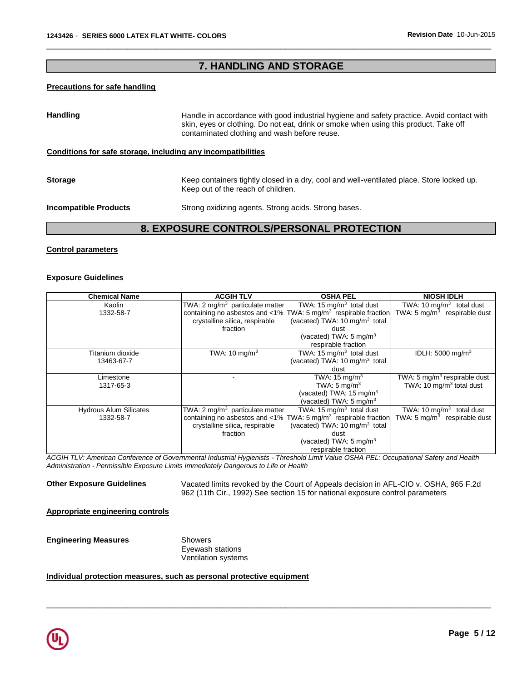# **7. HANDLING AND STORAGE**

\_\_\_\_\_\_\_\_\_\_\_\_\_\_\_\_\_\_\_\_\_\_\_\_\_\_\_\_\_\_\_\_\_\_\_\_\_\_\_\_\_\_\_\_\_\_\_\_\_\_\_\_\_\_\_\_\_\_\_\_\_\_\_\_\_\_\_\_\_\_\_\_\_\_\_\_\_\_\_\_\_\_\_\_\_\_\_\_\_\_\_\_\_

#### **Precautions for safe handling**

| <b>Handling</b>                                              | Handle in accordance with good industrial hygiene and safety practice. Avoid contact with<br>skin, eyes or clothing. Do not eat, drink or smoke when using this product. Take off<br>contaminated clothing and wash before reuse. |
|--------------------------------------------------------------|-----------------------------------------------------------------------------------------------------------------------------------------------------------------------------------------------------------------------------------|
| Conditions for safe storage, including any incompatibilities |                                                                                                                                                                                                                                   |
| <b>Storage</b>                                               | Keep containers tightly closed in a dry, cool and well-ventilated place. Store locked up.<br>Keep out of the reach of children.                                                                                                   |
| <b>Incompatible Products</b>                                 | Strong oxidizing agents. Strong acids. Strong bases.                                                                                                                                                                              |

# **8. EXPOSURE CONTROLS/PERSONAL PROTECTION**

#### **Control parameters**

#### **Exposure Guidelines**

| <b>Chemical Name</b>          | <b>ACGIH TLV</b>                            | <b>OSHA PEL</b>                                                                    | <b>NIOSH IDLH</b>                        |
|-------------------------------|---------------------------------------------|------------------------------------------------------------------------------------|------------------------------------------|
| Kaolin                        | TWA: 2 mg/m <sup>3</sup> particulate matter | TWA: 15 $mq/m3$ total dust                                                         | TWA: 10 mg/m <sup>3</sup> total dust     |
| 1332-58-7                     |                                             | containing no asbestos and <1% $\text{TWA: } 5 \text{ mg/m}^3$ respirable fraction | TWA: 5 mg/ $m^3$ respirable dust         |
|                               | crystalline silica, respirable              | (vacated) TWA: 10 mg/m <sup>3</sup> total                                          |                                          |
|                               | fraction                                    | dust                                                                               |                                          |
|                               |                                             | (vacated) TWA: $5 \text{ mg/m}^3$                                                  |                                          |
|                               |                                             | respirable fraction                                                                |                                          |
| Titanium dioxide              | TWA: 10 mg/m <sup>3</sup>                   | TWA: $15 \text{ mg/m}^3$ total dust                                                | IDLH: $5000 \text{ mg/m}^3$              |
| 13463-67-7                    |                                             | (vacated) TWA: 10 mg/m <sup>3</sup> total                                          |                                          |
|                               |                                             | dust                                                                               |                                          |
| Limestone                     |                                             | TWA: $15 \text{ mg/m}^3$                                                           | TWA: 5 mg/m <sup>3</sup> respirable dust |
| 1317-65-3                     |                                             | TWA: $5 \text{ mg/m}^3$                                                            | TWA: 10 $mq/m3$ total dust               |
|                               |                                             | (vacated) TWA: $15 \text{ mg/m}^3$                                                 |                                          |
|                               |                                             | (vacated) TWA: $5 \text{ mg/m}^3$                                                  |                                          |
| <b>Hydrous Alum Silicates</b> | TWA: 2 mg/m <sup>3</sup> particulate matter | TWA: 15 mg/m <sup>3</sup> total dust                                               | TWA: 10 $mq/m3$ total dust               |
| 1332-58-7                     |                                             | containing no asbestos and <1% TWA: 5 mg/m <sup>3</sup> respirable fraction        | TWA: $5 \text{ mg/m}^3$ respirable dust  |
|                               | crystalline silica, respirable              | (vacated) TWA: 10 mg/m <sup>3</sup> total                                          |                                          |
|                               | fraction                                    | dust                                                                               |                                          |
|                               |                                             | (vacated) TWA: $5 \text{ mg/m}^3$                                                  |                                          |
|                               |                                             | respirable fraction                                                                |                                          |

*ACGIH TLV: American Conference of Governmental Industrial Hygienists - Threshold Limit Value OSHA PEL: Occupational Safety and Health Administration - Permissible Exposure Limits Immediately Dangerous to Life or Health* 

\_\_\_\_\_\_\_\_\_\_\_\_\_\_\_\_\_\_\_\_\_\_\_\_\_\_\_\_\_\_\_\_\_\_\_\_\_\_\_\_\_\_\_\_\_\_\_\_\_\_\_\_\_\_\_\_\_\_\_\_\_\_\_\_\_\_\_\_\_\_\_\_\_\_\_\_\_\_\_\_\_\_\_\_\_\_\_\_\_\_\_\_\_

**Other Exposure Guidelines** Vacated limits revoked by the Court of Appeals decision in AFL-CIO v. OSHA, 965 F.2d 962 (11th Cir., 1992) See section 15 for national exposure control parameters

**Appropriate engineering controls**

**Engineering Measures** Showers

Eyewash stations Ventilation systems

#### **Individual protection measures, such as personal protective equipment**

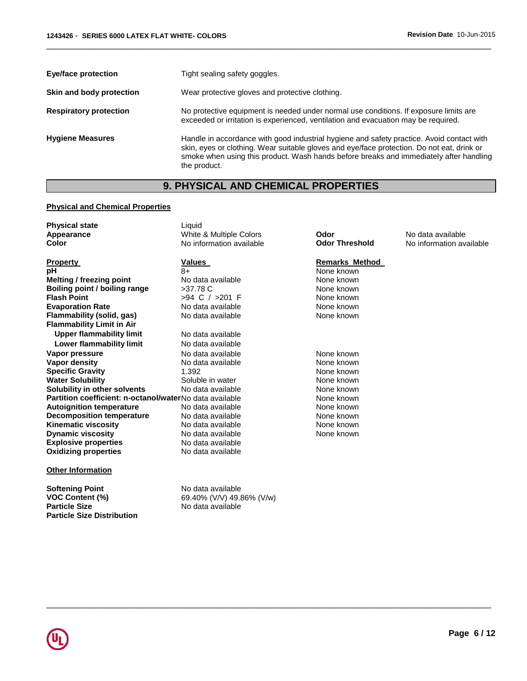| <b>Eye/face protection</b>    | Tight sealing safety goggles.                                                                                                                                                                                                                                                                     |
|-------------------------------|---------------------------------------------------------------------------------------------------------------------------------------------------------------------------------------------------------------------------------------------------------------------------------------------------|
| Skin and body protection      | Wear protective gloves and protective clothing.                                                                                                                                                                                                                                                   |
| <b>Respiratory protection</b> | No protective equipment is needed under normal use conditions. If exposure limits are<br>exceeded or irritation is experienced, ventilation and evacuation may be required.                                                                                                                       |
| <b>Hygiene Measures</b>       | Handle in accordance with good industrial hygiene and safety practice. Avoid contact with<br>skin, eyes or clothing. Wear suitable gloves and eye/face protection. Do not eat, drink or<br>smoke when using this product. Wash hands before breaks and immediately after handling<br>the product. |

\_\_\_\_\_\_\_\_\_\_\_\_\_\_\_\_\_\_\_\_\_\_\_\_\_\_\_\_\_\_\_\_\_\_\_\_\_\_\_\_\_\_\_\_\_\_\_\_\_\_\_\_\_\_\_\_\_\_\_\_\_\_\_\_\_\_\_\_\_\_\_\_\_\_\_\_\_\_\_\_\_\_\_\_\_\_\_\_\_\_\_\_\_

# **9. PHYSICAL AND CHEMICAL PROPERTIES**

### **Physical and Chemical Properties**

**Particle Size Distribution** 

| <b>Physical state</b><br>Appearance<br><b>Color</b>           | Liquid<br><b>White &amp; Multiple Colors</b><br>No information available | Odor<br><b>Odor Threshold</b> | No data available<br>No information available |
|---------------------------------------------------------------|--------------------------------------------------------------------------|-------------------------------|-----------------------------------------------|
| <b>Property</b>                                               | Values                                                                   | <b>Remarks Method</b>         |                                               |
| pH                                                            | $8+$                                                                     | None known                    |                                               |
| Melting / freezing point                                      | No data available                                                        | None known                    |                                               |
| Boiling point / boiling range                                 | $>37.78$ C                                                               | None known                    |                                               |
| <b>Flash Point</b>                                            | $>94$ C $/$ $>201$ F                                                     | None known                    |                                               |
| <b>Evaporation Rate</b>                                       | No data available                                                        | None known                    |                                               |
| Flammability (solid, gas)<br><b>Flammability Limit in Air</b> | No data available                                                        | None known                    |                                               |
| <b>Upper flammability limit</b>                               | No data available                                                        |                               |                                               |
| Lower flammability limit                                      | No data available                                                        |                               |                                               |
| Vapor pressure                                                | No data available                                                        | None known                    |                                               |
| Vapor density                                                 | No data available                                                        | None known                    |                                               |
| <b>Specific Gravity</b>                                       | 1.392                                                                    | None known                    |                                               |
| <b>Water Solubility</b>                                       | Soluble in water                                                         | None known                    |                                               |
| Solubility in other solvents                                  | No data available                                                        | None known                    |                                               |
| Partition coefficient: n-octanol/waterNo data available       |                                                                          | None known                    |                                               |
| <b>Autoignition temperature</b>                               | No data available                                                        | None known                    |                                               |
| <b>Decomposition temperature</b>                              | No data available                                                        | None known                    |                                               |
| <b>Kinematic viscosity</b>                                    | No data available                                                        | None known                    |                                               |
| <b>Dynamic viscosity</b>                                      | No data available                                                        | None known                    |                                               |
| <b>Explosive properties</b>                                   | No data available                                                        |                               |                                               |
| <b>Oxidizing properties</b>                                   | No data available                                                        |                               |                                               |
| <b>Other Information</b>                                      |                                                                          |                               |                                               |
| <b>Softening Point</b>                                        | No data available                                                        |                               |                                               |
| <b>VOC Content (%)</b>                                        | 69.40% (V/V) 49.86% (V/w)                                                |                               |                                               |
| <b>Particle Size</b>                                          | No data available                                                        |                               |                                               |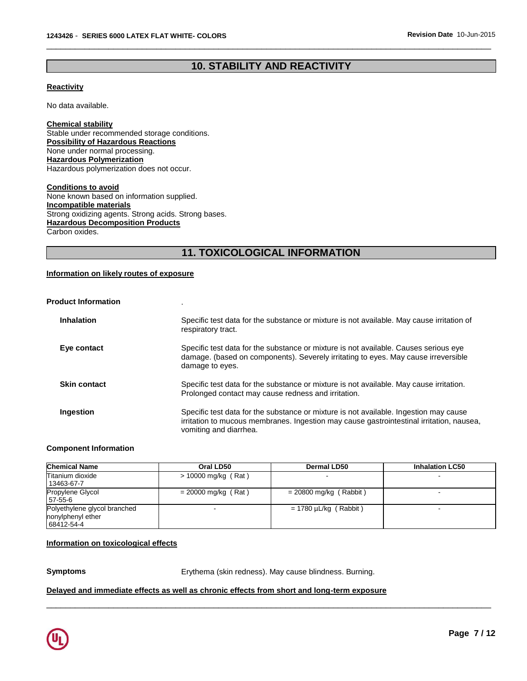# **10. STABILITY AND REACTIVITY**

\_\_\_\_\_\_\_\_\_\_\_\_\_\_\_\_\_\_\_\_\_\_\_\_\_\_\_\_\_\_\_\_\_\_\_\_\_\_\_\_\_\_\_\_\_\_\_\_\_\_\_\_\_\_\_\_\_\_\_\_\_\_\_\_\_\_\_\_\_\_\_\_\_\_\_\_\_\_\_\_\_\_\_\_\_\_\_\_\_\_\_\_\_

#### **Reactivity**

No data available.

**Chemical stability** Stable under recommended storage conditions. **Possibility of Hazardous Reactions** None under normal processing. **Hazardous Polymerization** Hazardous polymerization does not occur.

**Conditions to avoid** None known based on information supplied. **Incompatible materials** Strong oxidizing agents. Strong acids. Strong bases. **Hazardous Decomposition Products** Carbon oxides.

# **11. TOXICOLOGICAL INFORMATION**

#### **Information on likely routes of exposure**

| <b>Product Information</b> |                                                                                                                                                                                                             |
|----------------------------|-------------------------------------------------------------------------------------------------------------------------------------------------------------------------------------------------------------|
| <b>Inhalation</b>          | Specific test data for the substance or mixture is not available. May cause irritation of<br>respiratory tract.                                                                                             |
| Eye contact                | Specific test data for the substance or mixture is not available. Causes serious eye<br>damage. (based on components). Severely irritating to eyes. May cause irreversible<br>damage to eyes.               |
| <b>Skin contact</b>        | Specific test data for the substance or mixture is not available. May cause irritation.<br>Prolonged contact may cause redness and irritation.                                                              |
| Ingestion                  | Specific test data for the substance or mixture is not available. Ingestion may cause<br>irritation to mucous membranes. Ingestion may cause gastrointestinal irritation, nausea,<br>vomiting and diarrhea. |

#### **Component Information**

| <b>Chemical Name</b>                                            | Oral LD50             | Dermal LD50                | <b>Inhalation LC50</b> |
|-----------------------------------------------------------------|-----------------------|----------------------------|------------------------|
| Titanium dioxide<br>13463-67-7                                  | $> 10000$ mg/kg (Rat) |                            |                        |
| Propylene Glycol<br>57-55-6                                     | $= 20000$ mg/kg (Rat) | $= 20800$ mg/kg (Rabbit)   | -                      |
| Polyethylene glycol branched<br>nonylphenyl ether<br>68412-54-4 |                       | $= 1780 \mu L/kg$ (Rabbit) | -                      |

#### **Information on toxicological effects**

**Symptoms** Erythema (skin redness). May cause blindness. Burning.

\_\_\_\_\_\_\_\_\_\_\_\_\_\_\_\_\_\_\_\_\_\_\_\_\_\_\_\_\_\_\_\_\_\_\_\_\_\_\_\_\_\_\_\_\_\_\_\_\_\_\_\_\_\_\_\_\_\_\_\_\_\_\_\_\_\_\_\_\_\_\_\_\_\_\_\_\_\_\_\_\_\_\_\_\_\_\_\_\_\_\_\_\_

#### **Delayed and immediate effects as well as chronic effects from short and long-term exposure**

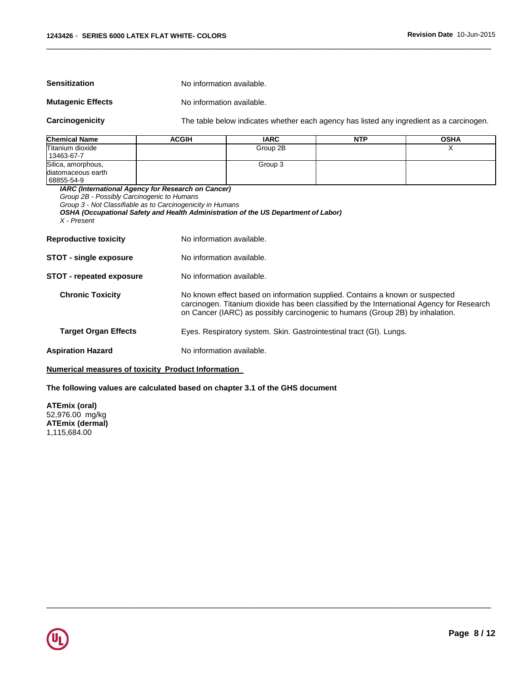**Sensitization No information available.** 

#### **Mutagenic Effects** No information available.

**Carcinogenicity** The table below indicates whether each agency has listed any ingredient as a carcinogen.

| Chemical Name      | ACGIH | <b>IARC</b> | <b>NTP</b> | <b>OSHA</b> |
|--------------------|-------|-------------|------------|-------------|
| Titanium dioxide   |       | Group 2B    |            |             |
| 13463-67-7         |       |             |            |             |
| Silica, amorphous, |       | Group 3     |            |             |
| diatomaceous earth |       |             |            |             |
| 68855-54-9         |       |             |            |             |

\_\_\_\_\_\_\_\_\_\_\_\_\_\_\_\_\_\_\_\_\_\_\_\_\_\_\_\_\_\_\_\_\_\_\_\_\_\_\_\_\_\_\_\_\_\_\_\_\_\_\_\_\_\_\_\_\_\_\_\_\_\_\_\_\_\_\_\_\_\_\_\_\_\_\_\_\_\_\_\_\_\_\_\_\_\_\_\_\_\_\_\_\_

*IARC (International Agency for Research on Cancer)*

*Group 2B - Possibly Carcinogenic to Humans*

*Group 3 - Not Classifiable as to Carcinogenicity in Humans* 

|             | OSHA (Occupational Safety and Health Administration of the US Department of Labor) |
|-------------|------------------------------------------------------------------------------------|
| X - Present |                                                                                    |

**Reproductive toxicity No information available.** 

- **STOT single exposure** No information available.
- **STOT repeated exposure** No information available.
	- **Chronic Toxicity** No known effect based on information supplied. Contains a known or suspected carcinogen. Titanium dioxide has been classified by the International Agency for Research on Cancer (IARC) as possibly carcinogenic to humans (Group 2B) by inhalation.

\_\_\_\_\_\_\_\_\_\_\_\_\_\_\_\_\_\_\_\_\_\_\_\_\_\_\_\_\_\_\_\_\_\_\_\_\_\_\_\_\_\_\_\_\_\_\_\_\_\_\_\_\_\_\_\_\_\_\_\_\_\_\_\_\_\_\_\_\_\_\_\_\_\_\_\_\_\_\_\_\_\_\_\_\_\_\_\_\_\_\_\_\_

- **Target Organ Effects** Eyes. Respiratory system. Skin. Gastrointestinal tract (GI). Lungs.
- **Aspiration Hazard Molec Example 2018** No information available.

#### **Numerical measures of toxicity Product Information**

#### **The following values are calculated based on chapter 3.1 of the GHS document**

**ATEmix (oral)** 52,976.00 mg/kg **ATEmix (dermal)** 1,115,684.00

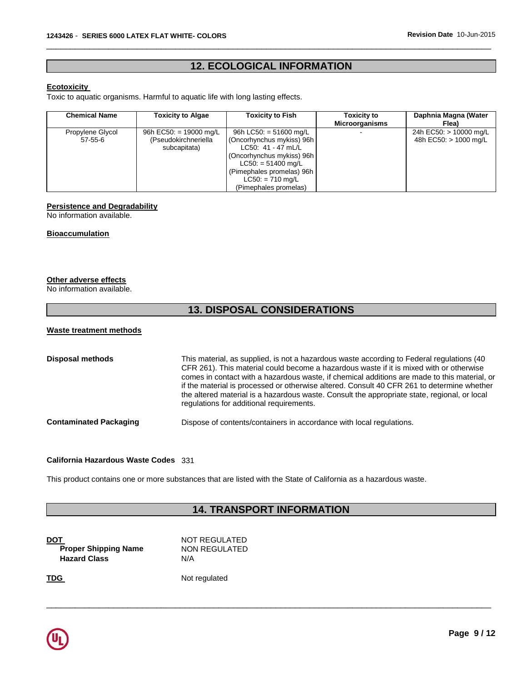# **12. ECOLOGICAL INFORMATION**

\_\_\_\_\_\_\_\_\_\_\_\_\_\_\_\_\_\_\_\_\_\_\_\_\_\_\_\_\_\_\_\_\_\_\_\_\_\_\_\_\_\_\_\_\_\_\_\_\_\_\_\_\_\_\_\_\_\_\_\_\_\_\_\_\_\_\_\_\_\_\_\_\_\_\_\_\_\_\_\_\_\_\_\_\_\_\_\_\_\_\_\_\_

#### **Ecotoxicity**

Toxic to aquatic organisms. Harmful to aquatic life with long lasting effects.

| <b>Chemical Name</b> | <b>Toxicity to Algae</b>             | <b>Toxicity to Fish</b>                                                                                                                                   | <b>Toxicity to</b><br><b>Microorganisms</b> | Daphnia Magna (Water<br>Flea) |
|----------------------|--------------------------------------|-----------------------------------------------------------------------------------------------------------------------------------------------------------|---------------------------------------------|-------------------------------|
| Propylene Glycol     | 96h EC50: = 19000 mg/L               | 96h LC50: $= 51600$ mg/L                                                                                                                                  |                                             | 24h EC50: > 10000 mg/L        |
| $57-55-6$            | (Pseudokirchneriella<br>subcapitata) | (Oncorhynchus mykiss) 96h<br>LC50: $41 - 47$ mL/L<br>(Oncorhynchus mykiss) 96h<br>$LC50: = 51400$ mg/L<br>(Pimephales promelas) 96h<br>$LC50: = 710$ mg/L |                                             | 48h EC50: > 1000 mg/L         |

#### **Persistence and Degradability**

No information available.

#### **Bioaccumulation**

#### **Other adverse effects**

No information available.

# **13. DISPOSAL CONSIDERATIONS**

#### **Waste treatment methods**

| <b>Disposal methods</b>       | This material, as supplied, is not a hazardous waste according to Federal regulations (40<br>CFR 261). This material could become a hazardous waste if it is mixed with or otherwise<br>comes in contact with a hazardous waste, if chemical additions are made to this material, or<br>if the material is processed or otherwise altered. Consult 40 CFR 261 to determine whether<br>the altered material is a hazardous waste. Consult the appropriate state, regional, or local<br>regulations for additional requirements. |
|-------------------------------|--------------------------------------------------------------------------------------------------------------------------------------------------------------------------------------------------------------------------------------------------------------------------------------------------------------------------------------------------------------------------------------------------------------------------------------------------------------------------------------------------------------------------------|
| <b>Contaminated Packaging</b> | Dispose of contents/containers in accordance with local regulations.                                                                                                                                                                                                                                                                                                                                                                                                                                                           |

#### **California Hazardous Waste Codes** 331

This product contains one or more substances that are listed with the State of California as a hazardous waste.

# **14. TRANSPORT INFORMATION**

\_\_\_\_\_\_\_\_\_\_\_\_\_\_\_\_\_\_\_\_\_\_\_\_\_\_\_\_\_\_\_\_\_\_\_\_\_\_\_\_\_\_\_\_\_\_\_\_\_\_\_\_\_\_\_\_\_\_\_\_\_\_\_\_\_\_\_\_\_\_\_\_\_\_\_\_\_\_\_\_\_\_\_\_\_\_\_\_\_\_\_\_\_

**DOT** NOT REGULATED **Proper Shipping Name** NON REGULATED **Hazard Class** N/A

**TDG** Not regulated

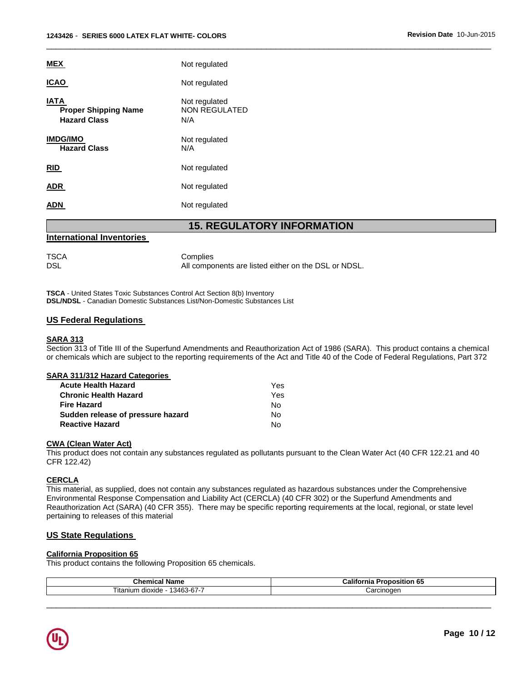| <b>MEX</b>                                                        | Not regulated                                                    |
|-------------------------------------------------------------------|------------------------------------------------------------------|
| <b>ICAO</b>                                                       | Not regulated                                                    |
| <b>IATA</b><br><b>Proper Shipping Name</b><br><b>Hazard Class</b> | Not regulated<br>NON REGULATED<br>N/A                            |
| <b>IMDG/IMO</b><br><b>Hazard Class</b>                            | Not regulated<br>N/A                                             |
| <b>RID</b>                                                        | Not regulated                                                    |
| <b>ADR</b>                                                        | Not regulated                                                    |
| <b>ADN</b>                                                        | Not regulated                                                    |
|                                                                   | <b>15. REGULATORY INFORMATION</b>                                |
| <b>International Inventories</b>                                  |                                                                  |
| <b>TSCA</b><br><b>DSL</b>                                         | Complies<br>All components are listed either on the DSL or NDSL. |

\_\_\_\_\_\_\_\_\_\_\_\_\_\_\_\_\_\_\_\_\_\_\_\_\_\_\_\_\_\_\_\_\_\_\_\_\_\_\_\_\_\_\_\_\_\_\_\_\_\_\_\_\_\_\_\_\_\_\_\_\_\_\_\_\_\_\_\_\_\_\_\_\_\_\_\_\_\_\_\_\_\_\_\_\_\_\_\_\_\_\_\_\_

**TSCA** - United States Toxic Substances Control Act Section 8(b) Inventory **DSL/NDSL** - Canadian Domestic Substances List/Non-Domestic Substances List

#### **US Federal Regulations**

#### **SARA 313**

Section 313 of Title III of the Superfund Amendments and Reauthorization Act of 1986 (SARA). This product contains a chemical or chemicals which are subject to the reporting requirements of the Act and Title 40 of the Code of Federal Regulations, Part 372

#### **SARA 311/312 Hazard Categories**

| <b>Acute Health Hazard</b>        | Yes. |
|-----------------------------------|------|
| <b>Chronic Health Hazard</b>      | Yes  |
| <b>Fire Hazard</b>                | No.  |
| Sudden release of pressure hazard | Nο   |
| <b>Reactive Hazard</b>            | N٥   |

#### **CWA (Clean Water Act)**

This product does not contain any substances regulated as pollutants pursuant to the Clean Water Act (40 CFR 122.21 and 40 CFR 122.42)

#### **CERCLA**

This material, as supplied, does not contain any substances regulated as hazardous substances under the Comprehensive Environmental Response Compensation and Liability Act (CERCLA) (40 CFR 302) or the Superfund Amendments and Reauthorization Act (SARA) (40 CFR 355). There may be specific reporting requirements at the local, regional, or state level pertaining to releases of this material

### **US State Regulations**

#### **California Proposition 65**

This product contains the following Proposition 65 chemicals.

| $\sim$<br>ıl Name<br>Chemical                     | <br>position<br>-Califo.<br>. O.<br>rnia |
|---------------------------------------------------|------------------------------------------|
| $\sim$ $\sim$<br>13463-67-7<br>dioxide<br>ıtanıun | Carcinoder                               |

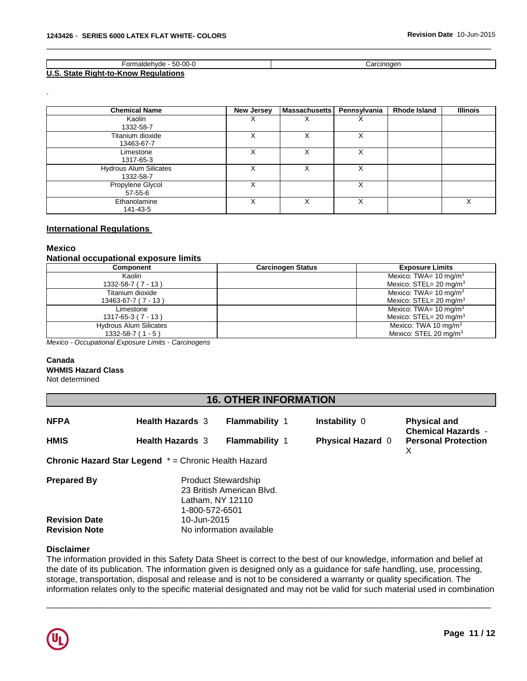| $50-00-0$<br>ormaldehvde                             | Carcinoder |
|------------------------------------------------------|------------|
| U.S. State<br><b>Requlations</b><br>. Right-to-Know⊹ |            |

\_\_\_\_\_\_\_\_\_\_\_\_\_\_\_\_\_\_\_\_\_\_\_\_\_\_\_\_\_\_\_\_\_\_\_\_\_\_\_\_\_\_\_\_\_\_\_\_\_\_\_\_\_\_\_\_\_\_\_\_\_\_\_\_\_\_\_\_\_\_\_\_\_\_\_\_\_\_\_\_\_\_\_\_\_\_\_\_\_\_\_\_\_

| <b>Chemical Name</b>                       | New Jersey | <b>Massachusetts</b> | Pennsylvania | Rhode Island | <b>Illinois</b> |
|--------------------------------------------|------------|----------------------|--------------|--------------|-----------------|
| Kaolin<br>1332-58-7                        | X          |                      | х            |              |                 |
| Titanium dioxide<br>13463-67-7             |            | X                    | Χ            |              |                 |
| Limestone<br>1317-65-3                     | х          |                      | х            |              |                 |
| <b>Hydrous Alum Silicates</b><br>1332-58-7 |            |                      |              |              |                 |
| Propylene Glycol<br>57-55-6                | X          |                      | х            |              |                 |
| Ethanolamine<br>141-43-5                   |            |                      | х            |              | ⋏               |

# **International Regulations**

#### **Mexico**

.

### **National occupational exposure limits**

| Component                     | <b>Carcinogen Status</b> | <b>Exposure Limits</b>                |
|-------------------------------|--------------------------|---------------------------------------|
| Kaolin                        |                          | Mexico: TWA= $10 \text{ mg/m}^3$      |
| $1332 - 58 - 7(7 - 13)$       |                          | Mexico: $STEL = 20$ mg/m <sup>3</sup> |
| Titanium dioxide              |                          | Mexico: TWA= $10 \text{ mg/m}^3$      |
| 13463-67-7 (7 - 13)           |                          | Mexico: $STEL = 20$ mg/m <sup>3</sup> |
| Limestone                     |                          | Mexico: TWA= $10 \text{ mg/m}^3$      |
| $1317 - 65 - 3(7 - 13)$       |                          | Mexico: $STEL = 20$ mg/m <sup>3</sup> |
| <b>Hydrous Alum Silicates</b> |                          | Mexico: TWA 10 mg/m $3$               |
| $1332 - 58 - 7(1 - 5)$        |                          | Mexico: STEL 20 mg/m <sup>3</sup>     |

*Mexico - Occupational Exposure Limits - Carcinogens* 

#### **Canada**

#### **WHMIS Hazard Class**

Not determined

# **16. OTHER INFORMATION**

| <b>NFPA</b>                                  | <b>Health Hazards 3</b>                                     | <b>Flammability 1</b>                                                       | <b>Instability 0</b>     | <b>Physical and</b><br><b>Chemical Hazards -</b> |
|----------------------------------------------|-------------------------------------------------------------|-----------------------------------------------------------------------------|--------------------------|--------------------------------------------------|
| <b>HMIS</b>                                  | <b>Health Hazards 3</b>                                     | <b>Flammability 1</b>                                                       | <b>Physical Hazard 0</b> | <b>Personal Protection</b><br>х                  |
|                                              | <b>Chronic Hazard Star Legend</b> * = Chronic Health Hazard |                                                                             |                          |                                                  |
| <b>Prepared By</b>                           | 1-800-572-6501                                              | <b>Product Stewardship</b><br>23 British American Blvd.<br>Latham, NY 12110 |                          |                                                  |
| <b>Revision Date</b><br><b>Revision Note</b> | 10-Jun-2015                                                 | No information available                                                    |                          |                                                  |

#### **Disclaimer**

The information provided in this Safety Data Sheet is correct to the best of our knowledge, information and belief at the date of its publication. The information given is designed only as a guidance for safe handling, use, processing, storage, transportation, disposal and release and is not to be considered a warranty or quality specification. The information relates only to the specific material designated and may not be valid for such material used in combination